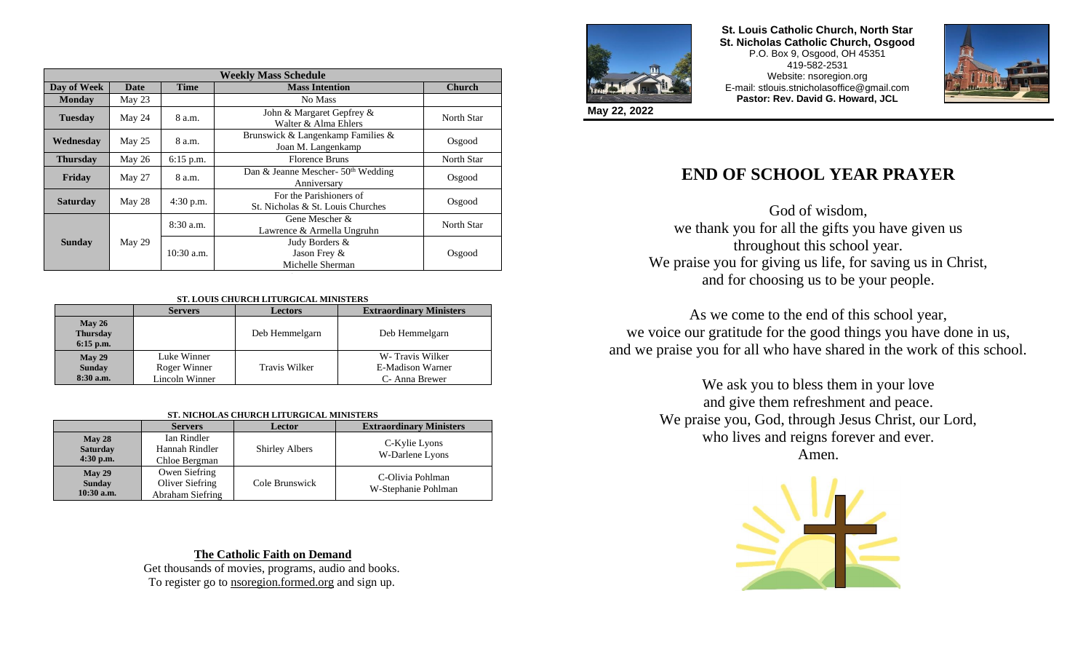| <b>Weekly Mass Schedule</b> |        |              |                                                              |               |  |
|-----------------------------|--------|--------------|--------------------------------------------------------------|---------------|--|
| Day of Week                 | Date   | <b>Time</b>  | <b>Mass Intention</b>                                        | <b>Church</b> |  |
| <b>Monday</b>               | May 23 |              | No Mass                                                      |               |  |
| <b>Tuesday</b>              | May 24 | 8 a.m.       | John & Margaret Gepfrey &<br>Walter & Alma Ehlers            | North Star    |  |
| Wednesday                   | May 25 | 8 a.m.       | Brunswick & Langenkamp Families &<br>Joan M. Langenkamp      | Osgood        |  |
| <b>Thursday</b>             | May 26 | $6:15$ p.m.  | <b>Florence Bruns</b>                                        | North Star    |  |
| Friday                      | May 27 | 8 a.m.       | Dan & Jeanne Mescher- $50th$ Wedding<br>Anniversary          | Osgood        |  |
| <b>Saturday</b>             | May 28 | 4:30 p.m.    | For the Parishioners of<br>St. Nicholas & St. Louis Churches | Osgood        |  |
|                             | May 29 | $8:30$ a.m.  | Gene Mescher $\&$<br>Lawrence & Armella Ungruhn              | North Star    |  |
| <b>Sunday</b>               |        | $10:30$ a.m. | Judy Borders &<br>Jason Frey &<br>Michelle Sherman           | Osgood        |  |

### **ST. LOUIS CHURCH LITURGICAL MINISTERS**

|                                             | <b>Servers</b>                                | <b>Lectors</b> | <b>Extraordinary Ministers</b>                        |
|---------------------------------------------|-----------------------------------------------|----------------|-------------------------------------------------------|
| $M$ ay 26<br><b>Thursday</b><br>$6:15$ p.m. |                                               | Deb Hemmelgarn | Deb Hemmelgarn                                        |
| $M$ ay 29<br><b>Sunday</b><br>$8:30$ a.m.   | Luke Winner<br>Roger Winner<br>Lincoln Winner | Travis Wilker  | W-Travis Wilker<br>E-Madison Warner<br>C- Anna Brewer |

#### **ST. NICHOLAS CHURCH LITURGICAL MINISTERS**

|                                             | <b>Servers</b>                                       | <b>Lector</b>         | <b>Extraordinary Ministers</b>          |
|---------------------------------------------|------------------------------------------------------|-----------------------|-----------------------------------------|
| $M$ ay 28<br><b>Saturday</b><br>$4:30$ p.m. | Ian Rindler<br>Hannah Rindler<br>Chloe Bergman       | <b>Shirley Albers</b> | C-Kylie Lyons<br>W-Darlene Lyons        |
| May 29<br><b>Sunday</b><br>10:30 a.m.       | Owen Siefring<br>Oliver Siefring<br>Abraham Siefring | Cole Brunswick        | C-Olivia Pohlman<br>W-Stephanie Pohlman |

## **The Catholic Faith on Demand**

Get thousands of movies, programs, audio and books. To register go to nsoregion.formed.org and sign up.



**St. Louis Catholic Church, North Star St. Nicholas Catholic Church, Osgood** P.O. Box 9, Osgood, OH 45351 419-582-2531 Website: nsoregion.org E-mail: stlouis.stnicholasoffice@gmail.com **Pastor: Rev. David G. Howard, JCL**



**May 22, 2022**

# **END OF SCHOOL YEAR PRAYER**

God of wisdom, we thank you for all the gifts you have given us throughout this school year. We praise you for giving us life, for saving us in Christ, and for choosing us to be your people.

As we come to the end of this school year, we voice our gratitude for the good things you have done in us, and we praise you for all who have shared in the work of this school.

> We ask you to bless them in your love and give them refreshment and peace. We praise you, God, through Jesus Christ, our Lord, who lives and reigns forever and ever. Amen.